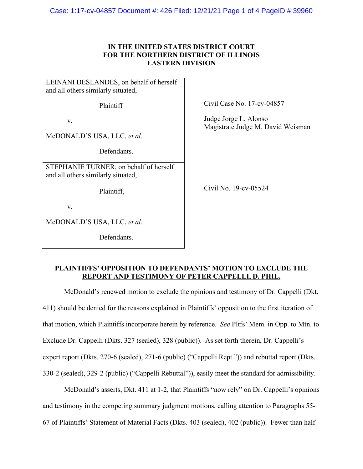Case: 1:17-cv-04857 Document #: 426 Filed: 12/21/21 Page 1 of 4 PageID #:39960

## **IN THE UNITED STATES DISTRICT COURT FOR THE NORTHERN DISTRICT OF ILLINOIS EASTERN DIVISION**

LEINANI DESLANDES, on behalf of herself and all others similarly situated, Plaintiff v. McDONALD'S USA, LLC, *et al.* Defendants. STEPHANIE TURNER, on behalf of herself and all others similarly situated, Plaintiff, v.

McDONALD'S USA, LLC, *et al.*

Defendants.

Civil Case No. 17-cv-04857

Judge Jorge L. Alonso Magistrate Judge M. David Weisman

Civil No. 19-cv-05524

## **PLAINTIFFS' OPPOSITION TO DEFENDANTS' MOTION TO EXCLUDE THE REPORT AND TESTIMONY OF PETER CAPPELLI, D. PHIL.**

McDonald's renewed motion to exclude the opinions and testimony of Dr. Cappelli (Dkt. 411) should be denied for the reasons explained in Plaintiffs' opposition to the first iteration of that motion, which Plaintiffs incorporate herein by reference. *See* Pltfs' Mem. in Opp. to Mtn. to Exclude Dr. Cappelli (Dkts. 327 (sealed), 328 (public)). As set forth therein, Dr. Cappelli's expert report (Dkts. 270-6 (sealed), 271-6 (public) ("Cappelli Rept.")) and rebuttal report (Dkts. 330-2 (sealed), 329-2 (public) ("Cappelli Rebuttal")), easily meet the standard for admissibility.

McDonald's asserts, Dkt. 411 at 1-2, that Plaintiffs "now rely" on Dr. Cappelli's opinions and testimony in the competing summary judgment motions, calling attention to Paragraphs 55- 67 of Plaintiffs' Statement of Material Facts (Dkts. 403 (sealed), 402 (public)). Fewer than half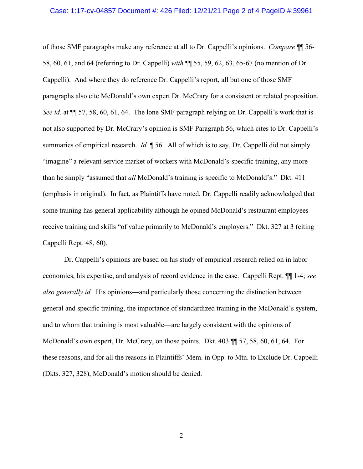## Case: 1:17-cv-04857 Document #: 426 Filed: 12/21/21 Page 2 of 4 PageID #:39961

of those SMF paragraphs make any reference at all to Dr. Cappelli's opinions. *Compare* ¶¶ 56- 58, 60, 61, and 64 (referring to Dr. Cappelli) *with* ¶¶ 55, 59, 62, 63, 65-67 (no mention of Dr. Cappelli). And where they do reference Dr. Cappelli's report, all but one of those SMF paragraphs also cite McDonald's own expert Dr. McCrary for a consistent or related proposition. *See id.* at ¶¶ 57, 58, 60, 61, 64. The lone SMF paragraph relying on Dr. Cappelli's work that is not also supported by Dr. McCrary's opinion is SMF Paragraph 56, which cites to Dr. Cappelli's summaries of empirical research. *Id.* ¶ 56. All of which is to say, Dr. Cappelli did not simply "imagine" a relevant service market of workers with McDonald's-specific training, any more than he simply "assumed that *all* McDonald's training is specific to McDonald's." Dkt. 411 (emphasis in original). In fact, as Plaintiffs have noted, Dr. Cappelli readily acknowledged that some training has general applicability although he opined McDonald's restaurant employees receive training and skills "of value primarily to McDonald's employers." Dkt. 327 at 3 (citing Cappelli Rept. 48, 60).

Dr. Cappelli's opinions are based on his study of empirical research relied on in labor economics, his expertise, and analysis of record evidence in the case. Cappelli Rept. ¶¶ 1-4; *see also generally id.* His opinions—and particularly those concerning the distinction between general and specific training, the importance of standardized training in the McDonald's system, and to whom that training is most valuable—are largely consistent with the opinions of McDonald's own expert, Dr. McCrary, on those points. Dkt. 403 ¶¶ 57, 58, 60, 61, 64. For these reasons, and for all the reasons in Plaintiffs' Mem. in Opp. to Mtn. to Exclude Dr. Cappelli (Dkts. 327, 328), McDonald's motion should be denied.

2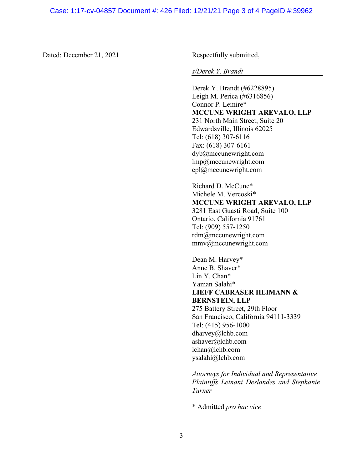Dated: December 21, 2021 Respectfully submitted,

*s/Derek Y. Brandt*

Derek Y. Brandt (#6228895) Leigh M. Perica (#6316856) Connor P. Lemire\* **MCCUNE WRIGHT AREVALO, LLP** 231 North Main Street, Suite 20 Edwardsville, Illinois 62025 Tel: (618) 307-6116 Fax: (618) 307-6161 dyb@mccunewright.com lmp@mccunewright.com cpl@mccunewright.com

Richard D. McCune\* Michele M. Vercoski\* **MCCUNE WRIGHT AREVALO, LLP** 3281 East Guasti Road, Suite 100 Ontario, California 91761 Tel: (909) 557-1250 rdm@mccunewright.com mmv@mccunewright.com

Dean M. Harvey\* Anne B. Shaver\* Lin Y. Chan\* Yaman Salahi\* **LIEFF CABRASER HEIMANN & BERNSTEIN, LLP** 275 Battery Street, 29th Floor San Francisco, California 94111-3339 Tel: (415) 956-1000 dharvey@lchb.com ashaver@lchb.com lchan@lchb.com ysalahi@lchb.com

*Attorneys for Individual and Representative Plaintiffs Leinani Deslandes and Stephanie Turner*

\* Admitted *pro hac vice*